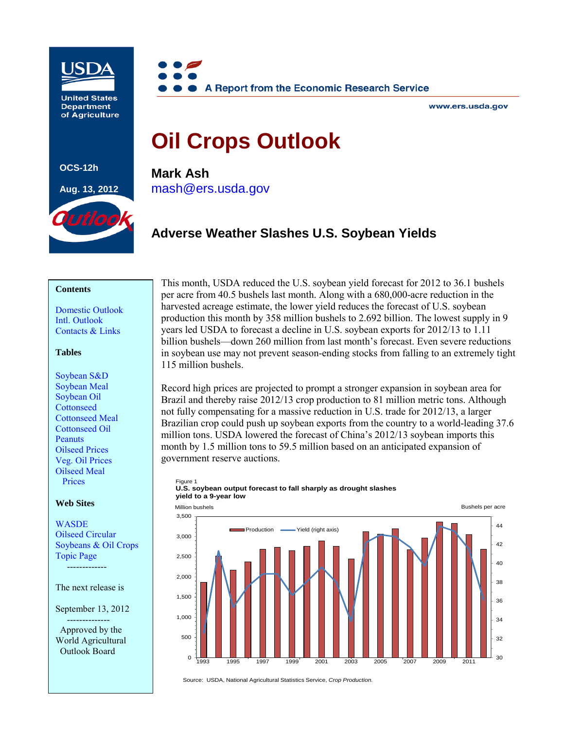

**United States Department** of Agriculture

**OCS-12h**

**Aug. 13, 2012**

utlo



www.ers.usda.gov

# **Oil Crops Outlook**

**Mark Ash** [mash@ers.usda.gov](mailto: mash@ers.usda.gov)

# **Adverse Weather Slashes U.S. Soybean Yields**

#### **Contents**

[Domestic Outlook](#page-1-0) [Intl. Outlook](#page-4-0) [Contacts & Links](#page-7-0)

#### **Tables**

[Soybean S&D](#page-8-0) [Soybean Meal](#page-9-0) [Soybean Oil](#page-10-0) **[Cottonseed](#page-11-0)** [Cottonseed Meal](#page-12-0) [Cottonseed Oil](#page-13-0) **[Peanuts](#page-14-0)** [Oilseed Prices](#page-15-0) [Veg. Oil Prices](#page-16-0) [Oilseed Meal](#page-17-0) Prices

#### **Web Sites**

**[WASDE](http://usda.mannlib.cornell.edu/MannUsda/viewDocumentInfo.do?documentID=1194)** 

[Oilseed Circular](http://www.fas.usda.gov/oilseeds_arc.asp) [Soybeans & Oil Crops](http://www.ers.usda.gov/topics/crops/soybeans-oil-crops.aspx) Topic Page -------------

The next release is

September 13, 2012 -------------- Approved by the World Agricultural Outlook Board

This month, USDA reduced the U.S. soybean yield forecast for 2012 to 36.1 bushels per acre from 40.5 bushels last month. Along with a 680,000-acre reduction in the harvested acreage estimate, the lower yield reduces the forecast of U.S. soybean production this month by 358 million bushels to 2.692 billion. The lowest supply in 9 years led USDA to forecast a decline in U.S. soybean exports for 2012/13 to 1.11 billion bushels—down 260 million from last month's forecast. Even severe reductions in soybean use may not prevent season-ending stocks from falling to an extremely tight 115 million bushels.

Record high prices are projected to prompt a stronger expansion in soybean area for Brazil and thereby raise 2012/13 crop production to 81 million metric tons. Although not fully compensating for a massive reduction in U.S. trade for 2012/13, a larger Brazilian crop could push up soybean exports from the country to a world-leading 37.6 million tons. USDA lowered the forecast of China's 2012/13 soybean imports this month by 1.5 million tons to 59.5 million based on an anticipated expansion of government reserve auctions.



#### Figure 1 **U.S. soybean output forecast to fall sharply as drought slashes yield to a 9-year low**

Source: USDA, National Agricultural Statistics Service, *Crop Production.*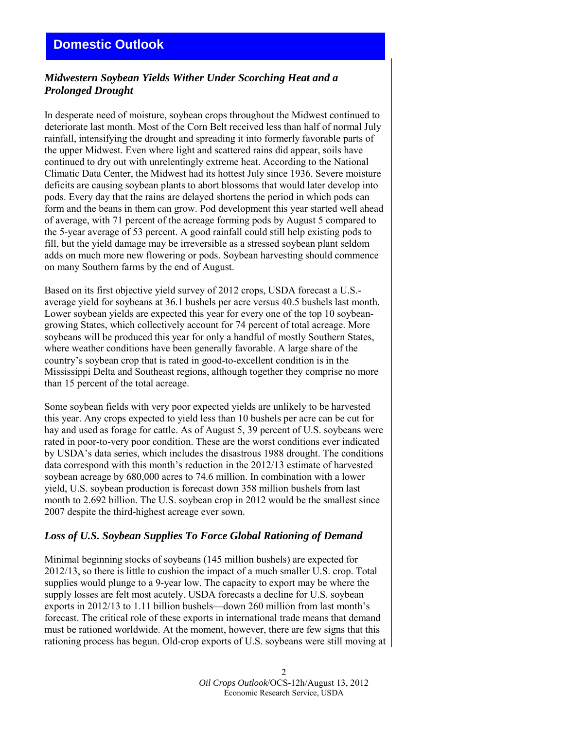# <span id="page-1-0"></span>*Midwestern Soybean Yields Wither Under Scorching Heat and a Prolonged Drought*

In desperate need of moisture, soybean crops throughout the Midwest continued to deteriorate last month. Most of the Corn Belt received less than half of normal July rainfall, intensifying the drought and spreading it into formerly favorable parts of the upper Midwest. Even where light and scattered rains did appear, soils have continued to dry out with unrelentingly extreme heat. According to the National Climatic Data Center, the Midwest had its hottest July since 1936. Severe moisture deficits are causing soybean plants to abort blossoms that would later develop into pods. Every day that the rains are delayed shortens the period in which pods can form and the beans in them can grow. Pod development this year started well ahead of average, with 71 percent of the acreage forming pods by August 5 compared to the 5-year average of 53 percent. A good rainfall could still help existing pods to fill, but the yield damage may be irreversible as a stressed soybean plant seldom adds on much more new flowering or pods. Soybean harvesting should commence on many Southern farms by the end of August.

Based on its first objective yield survey of 2012 crops, USDA forecast a U.S. average yield for soybeans at 36.1 bushels per acre versus 40.5 bushels last month. Lower soybean yields are expected this year for every one of the top 10 soybeangrowing States, which collectively account for 74 percent of total acreage. More soybeans will be produced this year for only a handful of mostly Southern States, where weather conditions have been generally favorable. A large share of the country's soybean crop that is rated in good-to-excellent condition is in the Mississippi Delta and Southeast regions, although together they comprise no more than 15 percent of the total acreage.

Some soybean fields with very poor expected yields are unlikely to be harvested this year. Any crops expected to yield less than 10 bushels per acre can be cut for hay and used as forage for cattle. As of August 5, 39 percent of U.S. soybeans were rated in poor-to-very poor condition. These are the worst conditions ever indicated by USDA's data series, which includes the disastrous 1988 drought. The conditions data correspond with this month's reduction in the 2012/13 estimate of harvested soybean acreage by 680,000 acres to 74.6 million. In combination with a lower yield, U.S. soybean production is forecast down 358 million bushels from last month to 2.692 billion. The U.S. soybean crop in 2012 would be the smallest since 2007 despite the third-highest acreage ever sown.

# *Loss of U.S. Soybean Supplies To Force Global Rationing of Demand*

Minimal beginning stocks of soybeans (145 million bushels) are expected for 2012/13, so there is little to cushion the impact of a much smaller U.S. crop. Total supplies would plunge to a 9-year low. The capacity to export may be where the supply losses are felt most acutely. USDA forecasts a decline for U.S. soybean exports in 2012/13 to 1.11 billion bushels—down 260 million from last month's forecast. The critical role of these exports in international trade means that demand must be rationed worldwide. At the moment, however, there are few signs that this rationing process has begun. Old-crop exports of U.S. soybeans were still moving at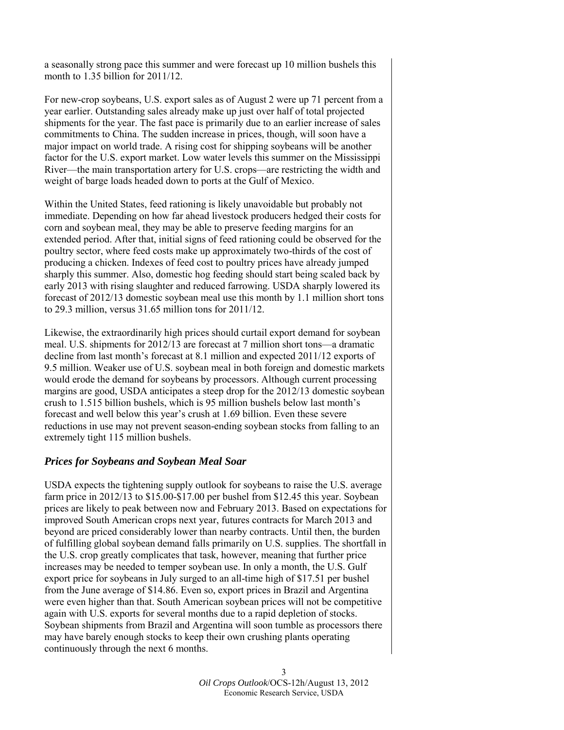a seasonally strong pace this summer and were forecast up 10 million bushels this month to 1.35 billion for 2011/12.

For new-crop soybeans, U.S. export sales as of August 2 were up 71 percent from a year earlier. Outstanding sales already make up just over half of total projected shipments for the year. The fast pace is primarily due to an earlier increase of sales commitments to China. The sudden increase in prices, though, will soon have a major impact on world trade. A rising cost for shipping soybeans will be another factor for the U.S. export market. Low water levels this summer on the Mississippi River—the main transportation artery for U.S. crops—are restricting the width and weight of barge loads headed down to ports at the Gulf of Mexico.

Within the United States, feed rationing is likely unavoidable but probably not immediate. Depending on how far ahead livestock producers hedged their costs for corn and soybean meal, they may be able to preserve feeding margins for an extended period. After that, initial signs of feed rationing could be observed for the poultry sector, where feed costs make up approximately two-thirds of the cost of producing a chicken. Indexes of feed cost to poultry prices have already jumped sharply this summer. Also, domestic hog feeding should start being scaled back by early 2013 with rising slaughter and reduced farrowing. USDA sharply lowered its forecast of 2012/13 domestic soybean meal use this month by 1.1 million short tons to 29.3 million, versus 31.65 million tons for 2011/12.

Likewise, the extraordinarily high prices should curtail export demand for soybean meal. U.S. shipments for 2012/13 are forecast at 7 million short tons—a dramatic decline from last month's forecast at 8.1 million and expected 2011/12 exports of 9.5 million. Weaker use of U.S. soybean meal in both foreign and domestic markets would erode the demand for soybeans by processors. Although current processing margins are good, USDA anticipates a steep drop for the 2012/13 domestic soybean crush to 1.515 billion bushels, which is 95 million bushels below last month's forecast and well below this year's crush at 1.69 billion. Even these severe reductions in use may not prevent season-ending soybean stocks from falling to an extremely tight 115 million bushels.

#### *Prices for Soybeans and Soybean Meal Soar*

USDA expects the tightening supply outlook for soybeans to raise the U.S. average farm price in 2012/13 to \$15.00-\$17.00 per bushel from \$12.45 this year. Soybean prices are likely to peak between now and February 2013. Based on expectations for improved South American crops next year, futures contracts for March 2013 and beyond are priced considerably lower than nearby contracts. Until then, the burden of fulfilling global soybean demand falls primarily on U.S. supplies. The shortfall in the U.S. crop greatly complicates that task, however, meaning that further price increases may be needed to temper soybean use. In only a month, the U.S. Gulf export price for soybeans in July surged to an all-time high of \$17.51 per bushel from the June average of \$14.86. Even so, export prices in Brazil and Argentina were even higher than that. South American soybean prices will not be competitive again with U.S. exports for several months due to a rapid depletion of stocks. Soybean shipments from Brazil and Argentina will soon tumble as processors there may have barely enough stocks to keep their own crushing plants operating continuously through the next 6 months.

> 3 *Oil Crops Outlook*/OCS-12h/August 13, 2012 Economic Research Service, USDA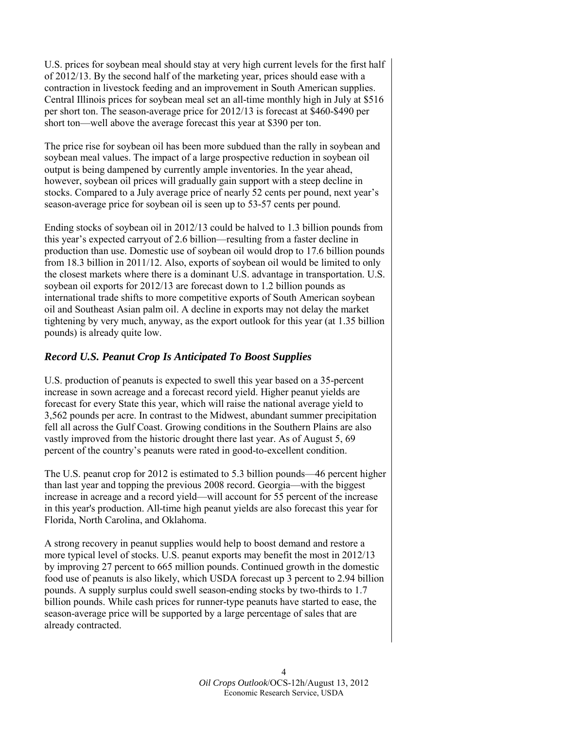U.S. prices for soybean meal should stay at very high current levels for the first half of 2012/13. By the second half of the marketing year, prices should ease with a contraction in livestock feeding and an improvement in South American supplies. Central Illinois prices for soybean meal set an all-time monthly high in July at \$516 per short ton. The season-average price for 2012/13 is forecast at \$460-\$490 per short ton—well above the average forecast this year at \$390 per ton.

The price rise for soybean oil has been more subdued than the rally in soybean and soybean meal values. The impact of a large prospective reduction in soybean oil output is being dampened by currently ample inventories. In the year ahead, however, soybean oil prices will gradually gain support with a steep decline in stocks. Compared to a July average price of nearly 52 cents per pound, next year's season-average price for soybean oil is seen up to 53-57 cents per pound.

Ending stocks of soybean oil in 2012/13 could be halved to 1.3 billion pounds from this year's expected carryout of 2.6 billion—resulting from a faster decline in production than use. Domestic use of soybean oil would drop to 17.6 billion pounds from 18.3 billion in 2011/12. Also, exports of soybean oil would be limited to only the closest markets where there is a dominant U.S. advantage in transportation. U.S. soybean oil exports for 2012/13 are forecast down to 1.2 billion pounds as international trade shifts to more competitive exports of South American soybean oil and Southeast Asian palm oil. A decline in exports may not delay the market tightening by very much, anyway, as the export outlook for this year (at 1.35 billion pounds) is already quite low.

# *Record U.S. Peanut Crop Is Anticipated To Boost Supplies*

U.S. production of peanuts is expected to swell this year based on a 35-percent increase in sown acreage and a forecast record yield. Higher peanut yields are forecast for every State this year, which will raise the national average yield to 3,562 pounds per acre. In contrast to the Midwest, abundant summer precipitation fell all across the Gulf Coast. Growing conditions in the Southern Plains are also vastly improved from the historic drought there last year. As of August 5, 69 percent of the country's peanuts were rated in good-to-excellent condition.

The U.S. peanut crop for 2012 is estimated to 5.3 billion pounds—46 percent higher than last year and topping the previous 2008 record. Georgia—with the biggest increase in acreage and a record yield—will account for 55 percent of the increase in this year's production. All-time high peanut yields are also forecast this year for Florida, North Carolina, and Oklahoma.

A strong recovery in peanut supplies would help to boost demand and restore a more typical level of stocks. U.S. peanut exports may benefit the most in 2012/13 by improving 27 percent to 665 million pounds. Continued growth in the domestic food use of peanuts is also likely, which USDA forecast up 3 percent to 2.94 billion pounds. A supply surplus could swell season-ending stocks by two-thirds to 1.7 billion pounds. While cash prices for runner-type peanuts have started to ease, the season-average price will be supported by a large percentage of sales that are already contracted.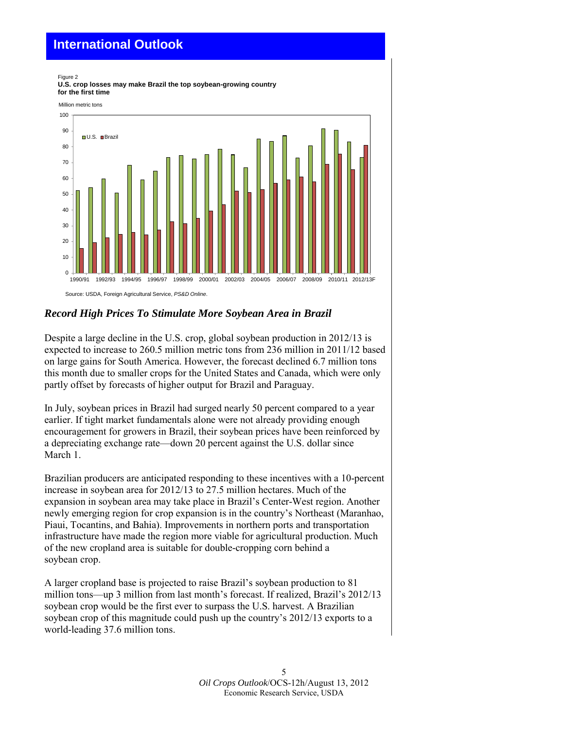# <span id="page-4-0"></span>**International Outlook**



# *Record High Prices To Stimulate More Soybean Area in Brazil*

Despite a large decline in the U.S. crop, global soybean production in 2012/13 is expected to increase to 260.5 million metric tons from 236 million in 2011/12 based on large gains for South America. However, the forecast declined 6.7 million tons this month due to smaller crops for the United States and Canada, which were only partly offset by forecasts of higher output for Brazil and Paraguay.

In July, soybean prices in Brazil had surged nearly 50 percent compared to a year earlier. If tight market fundamentals alone were not already providing enough encouragement for growers in Brazil, their soybean prices have been reinforced by a depreciating exchange rate—down 20 percent against the U.S. dollar since March 1.

Brazilian producers are anticipated responding to these incentives with a 10-percent increase in soybean area for 2012/13 to 27.5 million hectares. Much of the expansion in soybean area may take place in Brazil's Center-West region. Another newly emerging region for crop expansion is in the country's Northeast (Maranhao, Piaui, Tocantins, and Bahia). Improvements in northern ports and transportation infrastructure have made the region more viable for agricultural production. Much of the new cropland area is suitable for double-cropping corn behind a soybean crop.

A larger cropland base is projected to raise Brazil's soybean production to 81 million tons—up 3 million from last month's forecast. If realized, Brazil's 2012/13 soybean crop would be the first ever to surpass the U.S. harvest. A Brazilian soybean crop of this magnitude could push up the country's 2012/13 exports to a world-leading 37.6 million tons.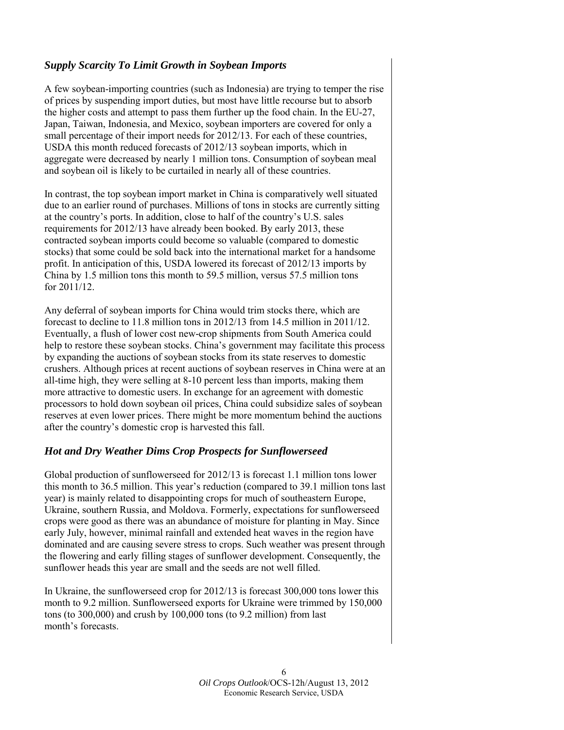# *Supply Scarcity To Limit Growth in Soybean Imports*

A few soybean-importing countries (such as Indonesia) are trying to temper the rise of prices by suspending import duties, but most have little recourse but to absorb the higher costs and attempt to pass them further up the food chain. In the EU-27, Japan, Taiwan, Indonesia, and Mexico, soybean importers are covered for only a small percentage of their import needs for 2012/13. For each of these countries, USDA this month reduced forecasts of 2012/13 soybean imports, which in aggregate were decreased by nearly 1 million tons. Consumption of soybean meal and soybean oil is likely to be curtailed in nearly all of these countries.

In contrast, the top soybean import market in China is comparatively well situated due to an earlier round of purchases. Millions of tons in stocks are currently sitting at the country's ports. In addition, close to half of the country's U.S. sales requirements for 2012/13 have already been booked. By early 2013, these contracted soybean imports could become so valuable (compared to domestic stocks) that some could be sold back into the international market for a handsome profit. In anticipation of this, USDA lowered its forecast of 2012/13 imports by China by 1.5 million tons this month to 59.5 million, versus 57.5 million tons for 2011/12.

Any deferral of soybean imports for China would trim stocks there, which are forecast to decline to 11.8 million tons in 2012/13 from 14.5 million in 2011/12. Eventually, a flush of lower cost new-crop shipments from South America could help to restore these soybean stocks. China's government may facilitate this process by expanding the auctions of soybean stocks from its state reserves to domestic crushers. Although prices at recent auctions of soybean reserves in China were at an all-time high, they were selling at 8-10 percent less than imports, making them more attractive to domestic users. In exchange for an agreement with domestic processors to hold down soybean oil prices, China could subsidize sales of soybean reserves at even lower prices. There might be more momentum behind the auctions after the country's domestic crop is harvested this fall.

# *Hot and Dry Weather Dims Crop Prospects for Sunflowerseed*

Global production of sunflowerseed for 2012/13 is forecast 1.1 million tons lower this month to 36.5 million. This year's reduction (compared to 39.1 million tons last year) is mainly related to disappointing crops for much of southeastern Europe, Ukraine, southern Russia, and Moldova. Formerly, expectations for sunflowerseed crops were good as there was an abundance of moisture for planting in May. Since early July, however, minimal rainfall and extended heat waves in the region have dominated and are causing severe stress to crops. Such weather was present through the flowering and early filling stages of sunflower development. Consequently, the sunflower heads this year are small and the seeds are not well filled.

In Ukraine, the sunflowerseed crop for 2012/13 is forecast 300,000 tons lower this month to 9.2 million. Sunflowerseed exports for Ukraine were trimmed by 150,000 tons (to 300,000) and crush by 100,000 tons (to 9.2 million) from last month's forecasts.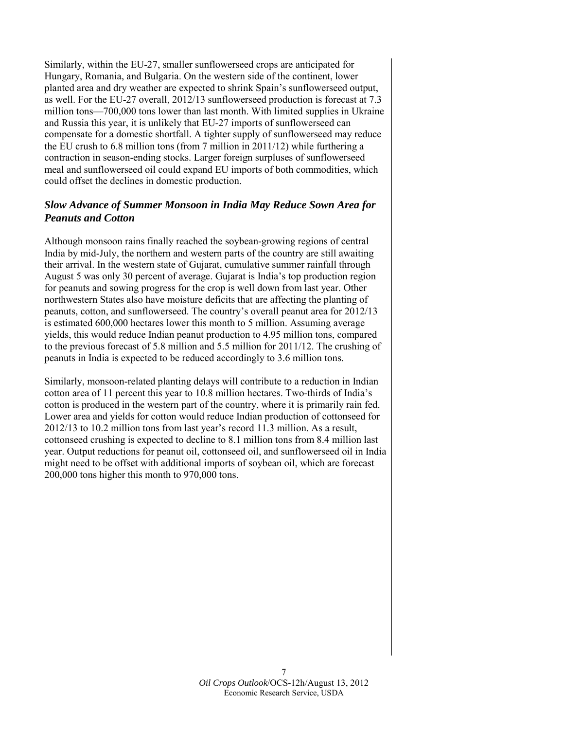Similarly, within the EU-27, smaller sunflowerseed crops are anticipated for Hungary, Romania, and Bulgaria. On the western side of the continent, lower planted area and dry weather are expected to shrink Spain's sunflowerseed output, as well. For the EU-27 overall, 2012/13 sunflowerseed production is forecast at 7.3 million tons—700,000 tons lower than last month. With limited supplies in Ukraine and Russia this year, it is unlikely that EU-27 imports of sunflowerseed can compensate for a domestic shortfall. A tighter supply of sunflowerseed may reduce the EU crush to 6.8 million tons (from 7 million in 2011/12) while furthering a contraction in season-ending stocks. Larger foreign surpluses of sunflowerseed meal and sunflowerseed oil could expand EU imports of both commodities, which could offset the declines in domestic production.

# *Slow Advance of Summer Monsoon in India May Reduce Sown Area for Peanuts and Cotton*

Although monsoon rains finally reached the soybean-growing regions of central India by mid-July, the northern and western parts of the country are still awaiting their arrival. In the western state of Gujarat, cumulative summer rainfall through August 5 was only 30 percent of average. Gujarat is India's top production region for peanuts and sowing progress for the crop is well down from last year. Other northwestern States also have moisture deficits that are affecting the planting of peanuts, cotton, and sunflowerseed. The country's overall peanut area for 2012/13 is estimated 600,000 hectares lower this month to 5 million. Assuming average yields, this would reduce Indian peanut production to 4.95 million tons, compared to the previous forecast of 5.8 million and 5.5 million for 2011/12. The crushing of peanuts in India is expected to be reduced accordingly to 3.6 million tons.

Similarly, monsoon-related planting delays will contribute to a reduction in Indian cotton area of 11 percent this year to 10.8 million hectares. Two-thirds of India's cotton is produced in the western part of the country, where it is primarily rain fed. Lower area and yields for cotton would reduce Indian production of cottonseed for 2012/13 to 10.2 million tons from last year's record 11.3 million. As a result, cottonseed crushing is expected to decline to 8.1 million tons from 8.4 million last year. Output reductions for peanut oil, cottonseed oil, and sunflowerseed oil in India might need to be offset with additional imports of soybean oil, which are forecast 200,000 tons higher this month to 970,000 tons.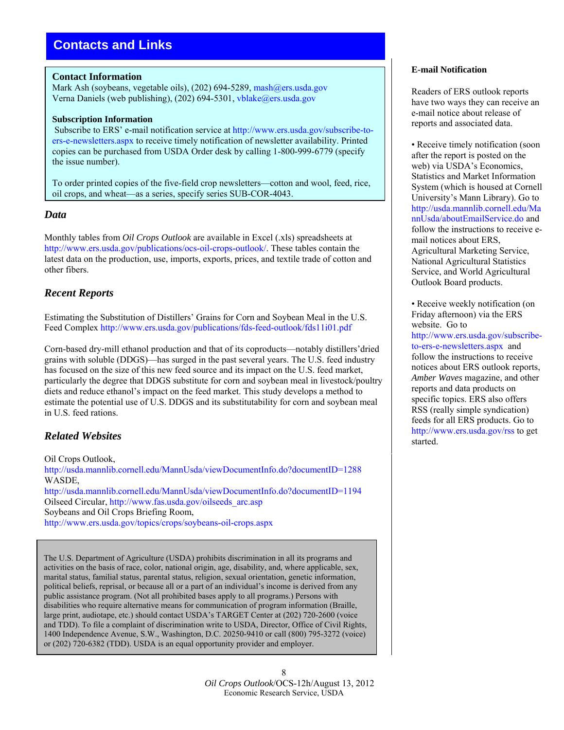# <span id="page-7-0"></span>**Contacts and Links**

#### **Contact Information**

Mark Ash (soybeans, vegetable oils), (202) 694-5289, [mash@ers.usda.gov](mailto: mash@ers.usda.gov) Verna Daniels (web publishing), (202) 694-5301, [vblake@ers.usda.gov](mailto: vblake@ers.usda.gov)

#### **Subscription Information**

 Subscribe to ERS' e-mail notification service a[t http://www.ers.usda.gov/subscribe-to](http://www.ers.usda.gov/subscribe-to-ers-e-newsletters.aspx)[ers-e-newsletters.aspx](http://www.ers.usda.gov/subscribe-to-ers-e-newsletters.aspx) to receive timely notification of newsletter availability. Printed copies can be purchased from USDA Order desk by calling 1-800-999-6779 (specify the issue number).

To order printed copies of the five-field crop newsletters—cotton and wool, feed, rice, oil crops, and wheat—as a series, specify series SUB-COR-4043.

#### *Data*

Monthly tables from *Oil Crops Outlook* are available in Excel (.xls) spreadsheets at [http://www.ers.usda.gov/publications/ocs-oil-crops-outlook/.](http://www.ers.usda.gov/publications/ocs-oil-crops-outlook/) These tables contain the latest data on the production, use, imports, exports, prices, and textile trade of cotton and other fibers.

# *Recent Reports*

Estimating the Substitution of Distillers' Grains for Corn and Soybean Meal in the U.S. Feed Complex [http://www.ers.usda.gov/publications/fds-feed-outlook/fds11i01.pdf](http://www.ers.usda.gov/publications/fds-feed-outlook/fds11i01.aspx)

Corn-based dry-mill ethanol production and that of its coproducts—notably distillers'dried grains with soluble (DDGS)—has surged in the past several years. The U.S. feed industry has focused on the size of this new feed source and its impact on the U.S. feed market, particularly the degree that DDGS substitute for corn and soybean meal in livestock/poultry diets and reduce ethanol's impact on the feed market. This study develops a method to estimate the potential use of U.S. DDGS and its substitutability for corn and soybean meal in U.S. feed rations.

# *Related Websites*

Oil Crops Outlook, <http://usda.mannlib.cornell.edu/MannUsda/viewDocumentInfo.do?documentID=1288> WASDE, <http://usda.mannlib.cornell.edu/MannUsda/viewDocumentInfo.do?documentID=1194> Oilseed Circular, [http://www.fas.usda.gov/oilseeds\\_arc.asp](http://www.fas.usda.gov/oilseeds_arc.asp) Soybeans and Oil Crops Briefing Room, <http://www.ers.usda.gov/topics/crops/soybeans-oil-crops.aspx>

The U.S. Department of Agriculture (USDA) prohibits discrimination in all its programs and activities on the basis of race, color, national origin, age, disability, and, where applicable, sex, marital status, familial status, parental status, religion, sexual orientation, genetic information, political beliefs, reprisal, or because all or a part of an individual's income is derived from any public assistance program. (Not all prohibited bases apply to all programs.) Persons with disabilities who require alternative means for communication of program information (Braille, large print, audiotape, etc.) should contact USDA's TARGET Center at (202) 720-2600 (voice and TDD). To file a complaint of discrimination write to USDA, Director, Office of Civil Rights, 1400 Independence Avenue, S.W., Washington, D.C. 20250-9410 or call (800) 795-3272 (voice) or (202) 720-6382 (TDD). USDA is an equal opportunity provider and employer.

#### 8 *Oil Crops Outlook*/OCS-12h/August 13, 2012 Economic Research Service, USDA

#### **E-mail Notification**

Readers of ERS outlook reports have two ways they can receive an e-mail notice about release of reports and associated data.

• Receive timely notification (soon after the report is posted on the web) via USDA's Economics, Statistics and Market Information System (which is housed at Cornell University's Mann Library). Go to [http://usda.mannlib.cornell.edu/Ma](http://usda.mannlib.cornell.edu/MannUsda/aboutEmailService.do) nnUsda/aboutEmailService.do and follow the instructions to receive email notices about ERS, Agricultural Marketing Service, National Agricultural Statistics Service, and World Agricultural Outlook Board products.

• Receive weekly notification (on Friday afternoon) via the ERS website. Go to [http://www.ers.usda.gov/subscribe](http://www.ers.usda.gov/subscribe-to-ers-e-newsletters.aspx)to-ers-e-newsletters.aspx and follow the instructions to receive notices about ERS outlook reports, *Amber Waves* magazine, and other reports and data products on specific topics. ERS also offers RSS (really simple syndication) feeds for all ERS products. Go to [http://www.ers.usda.gov/rss t](http://www.ers.usda.gov/rss)o get started.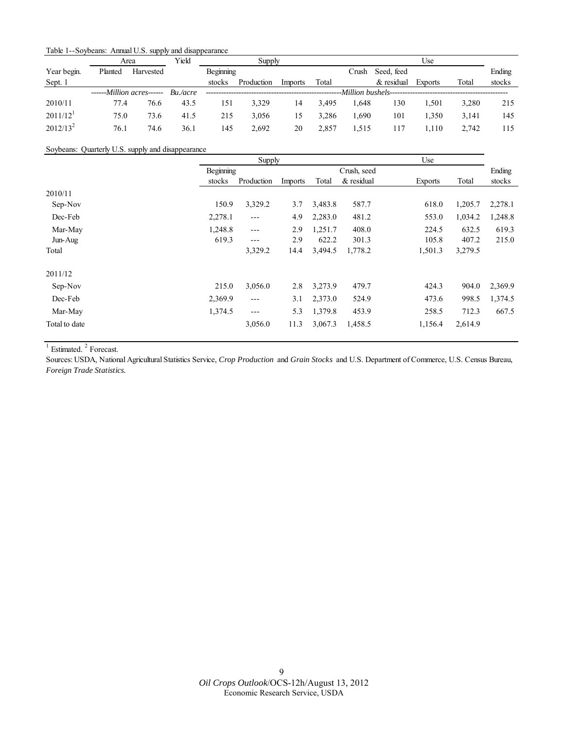<span id="page-8-0"></span>

| Table 1--Soybeans: Annual U.S. supply and disappearance |  |  |  |
|---------------------------------------------------------|--|--|--|
|---------------------------------------------------------|--|--|--|

|                        |                                                  | Area      | Yield |           | Supply     |         |       |       |                                                  | Use            |       |        |
|------------------------|--------------------------------------------------|-----------|-------|-----------|------------|---------|-------|-------|--------------------------------------------------|----------------|-------|--------|
| Year begin.            | Planted                                          | Harvested |       | Beginning |            |         |       | Crush | Seed, feed                                       |                |       | Ending |
| Sept. 1                |                                                  |           |       | stocks    | Production | Imports | Total |       | $&$ residual                                     | <b>Exports</b> | Total | stocks |
|                        | $---$ <i>Million acres</i> $---$ <i>Bu./acre</i> |           |       |           |            |         |       |       | --Million bushels------------------------------- |                |       |        |
| 2010/11                | 77.4                                             | 76.6      | 43.5  | 151       | 3.329      | 14      | 3.495 | 1.648 | 130                                              | 1.501          | 3.280 | 215    |
| $2011/12$ <sup>1</sup> | 75.0                                             | 73.6      | 41.5  | 215       | 3.056      | 15      | 3.286 | 1.690 | 101                                              | 1.350          | 3.141 | 145    |
| $2012/13^2$            | 76.1                                             | 74.6      | 36.1  | 145       | 2.692      | 20      | 2.857 | 1.515 | 117                                              | 1.110          | 2.742 | 115    |

Soybeans: Quarterly U.S. supply and disappearance

|               | Supply           |            |         |             |            | Use            |         |         |
|---------------|------------------|------------|---------|-------------|------------|----------------|---------|---------|
|               | <b>Beginning</b> |            |         | Crush, seed |            |                |         | Ending  |
|               | stocks           | Production | Imports | Total       | & residual | <b>Exports</b> | Total   | stocks  |
| 2010/11       |                  |            |         |             |            |                |         |         |
| Sep-Nov       | 150.9            | 3,329.2    | 3.7     | 3,483.8     | 587.7      | 618.0          | 1,205.7 | 2,278.1 |
| Dec-Feb       | 2,278.1          | $---$      | 4.9     | 2,283.0     | 481.2      | 553.0          | 1,034.2 | 1,248.8 |
| Mar-May       | 1,248.8          | $---$      | 2.9     | 1,251.7     | 408.0      | 224.5          | 632.5   | 619.3   |
| Jun-Aug       | 619.3            | $---$      | 2.9     | 622.2       | 301.3      | 105.8          | 407.2   | 215.0   |
| Total         |                  | 3,329.2    | 14.4    | 3,494.5     | 1,778.2    | 1,501.3        | 3,279.5 |         |
| 2011/12       |                  |            |         |             |            |                |         |         |
| Sep-Nov       | 215.0            | 3,056.0    | 2.8     | 3,273.9     | 479.7      | 424.3          | 904.0   | 2,369.9 |
| Dec-Feb       | 2,369.9          | $\cdots$   | 3.1     | 2,373.0     | 524.9      | 473.6          | 998.5   | 1,374.5 |
| Mar-May       | 1,374.5          | $---$      | 5.3     | 1,379.8     | 453.9      | 258.5          | 712.3   | 667.5   |
| Total to date |                  | 3,056.0    | 11.3    | 3,067.3     | 1,458.5    | 1,156.4        | 2,614.9 |         |

 $<sup>1</sup>$  Estimated.<sup>2</sup> Forecast.</sup>

Sources: USDA, National Agricultural Statistics Service, *Crop Production* and *Grain Stocks* and U.S. Department of Commerce, U.S. Census Bureau, *Foreign Trade Statistics.*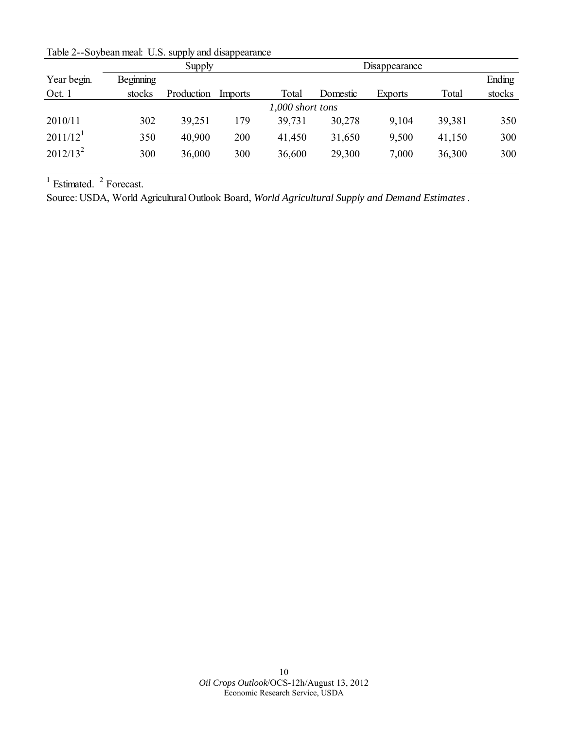<span id="page-9-0"></span>Table 2--Soybean meal: U.S. supply and disappearance

|                        |                  | Supply     |         |                  | Disappearance |         |        |        |  |  |  |
|------------------------|------------------|------------|---------|------------------|---------------|---------|--------|--------|--|--|--|
| Year begin.            | <b>Beginning</b> |            |         |                  |               |         |        | Ending |  |  |  |
| Oct. 1                 | stocks           | Production | Imports | Total            | Domestic      | Exports | Total  | stocks |  |  |  |
|                        |                  |            |         | 1,000 short tons |               |         |        |        |  |  |  |
| 2010/11                | 302              | 39,251     | 179     | 39,731           | 30,278        | 9,104   | 39,381 | 350    |  |  |  |
| $2011/12$ <sup>1</sup> | 350              | 40,900     | 200     | 41,450           | 31,650        | 9,500   | 41,150 | 300    |  |  |  |
| $2012/13^2$            | 300              | 36,000     | 300     | 36,600           | 29,300        | 7,000   | 36,300 | 300    |  |  |  |

Source: USDA, World Agricultural Outlook Board, *World Agricultural Supply and Demand Estimates*.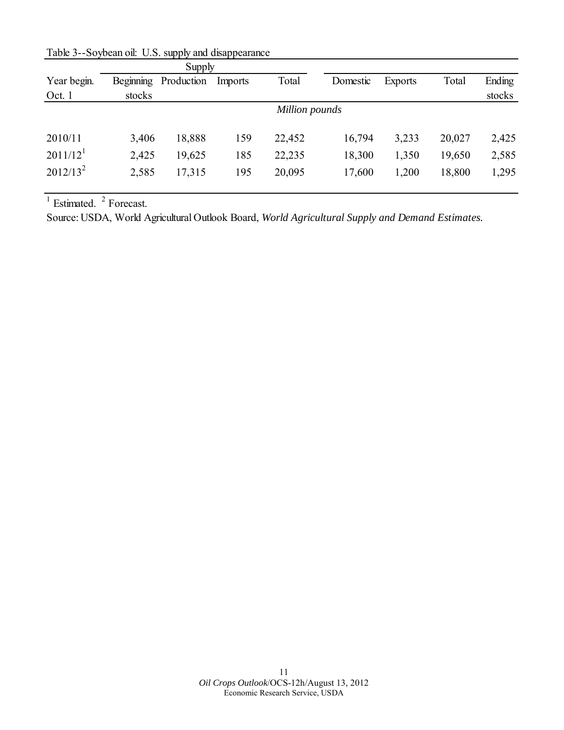|                        |           | Supply     |         |                |          |                |        |        |
|------------------------|-----------|------------|---------|----------------|----------|----------------|--------|--------|
| Year begin.            | Beginning | Production | Imports | Total          | Domestic | <b>Exports</b> | Total  | Ending |
| Oct. 1                 | stocks    |            |         |                |          |                |        | stocks |
|                        |           |            |         | Million pounds |          |                |        |        |
| 2010/11                | 3,406     | 18,888     | 159     | 22,452         | 16,794   | 3,233          | 20,027 | 2,425  |
| $2011/12$ <sup>1</sup> | 2,425     | 19,625     | 185     | 22,235         | 18,300   | 1,350          | 19,650 | 2,585  |
| $2012/13^2$            | 2,585     | 17,315     | 195     | 20,095         | 17,600   | 1,200          | 18,800 | 1,295  |
|                        |           |            |         |                |          |                |        |        |

<span id="page-10-0"></span>Table 3--Soybean oil: U.S. supply and disappearance

Source: USDA, World Agricultural Outlook Board, *World Agricultural Supply and Demand Estimates.*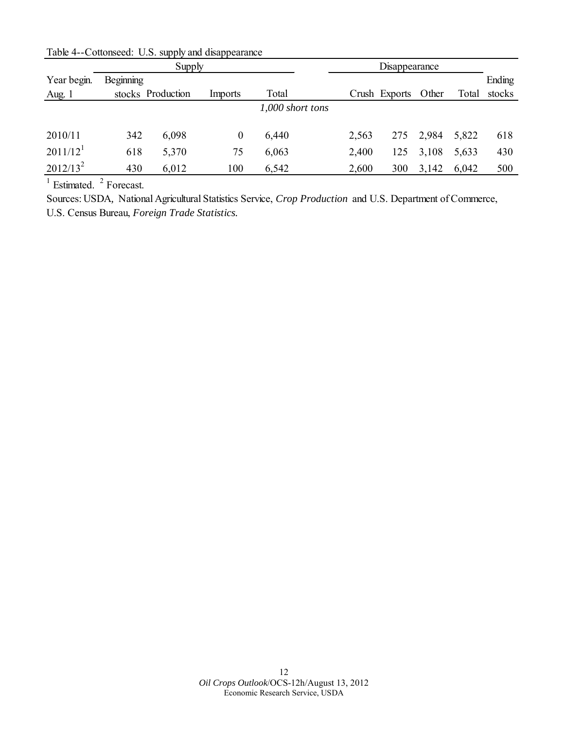<span id="page-11-0"></span>

|                        |           | Supply            |                | Disappearance    |  |       |               |       |       |        |
|------------------------|-----------|-------------------|----------------|------------------|--|-------|---------------|-------|-------|--------|
| Year begin.            | Beginning |                   |                |                  |  |       |               |       |       | Ending |
| Aug. $1$               |           | stocks Production | <i>Imports</i> | Total            |  |       | Crush Exports | Other | Total | stocks |
|                        |           |                   |                | 1,000 short tons |  |       |               |       |       |        |
|                        |           |                   |                |                  |  |       |               |       |       |        |
| 2010/11                | 342       | 6,098             | 0              | 6,440            |  | 2,563 | 275           | 2,984 | 5,822 | 618    |
| $2011/12$ <sup>1</sup> | 618       | 5,370             | 75             | 6,063            |  | 2,400 | 125           | 3,108 | 5,633 | 430    |
| $2012/13^2$            | 430       | 6,012             | 100            | 6,542            |  | 2,600 | 300           | 3,142 | 6,042 | 500    |

Sources: USDA*,* National Agricultural Statistics Service, *Crop Production* and U.S. Department of Commerce, U.S. Census Bureau, *Foreign Trade Statistics.*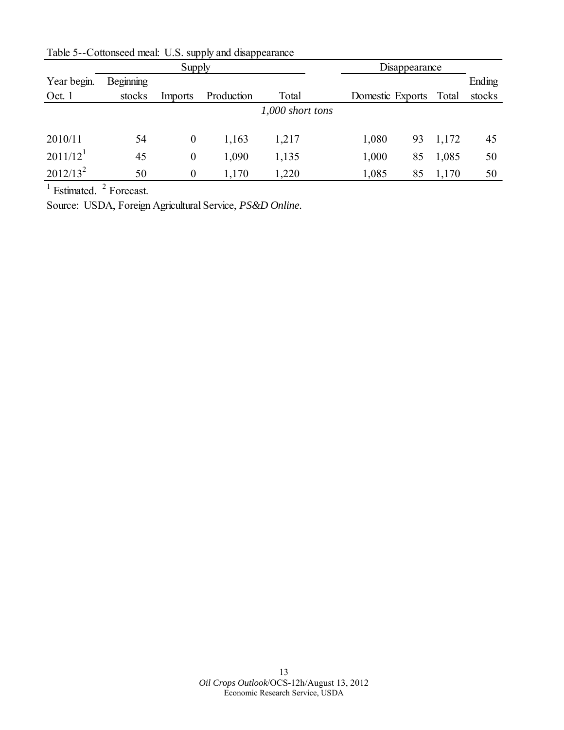|                      |           | Supply           |            |                  | Disappearance    |    |       |        |
|----------------------|-----------|------------------|------------|------------------|------------------|----|-------|--------|
| Year begin.          | Beginning |                  |            |                  |                  |    |       | Ending |
| Oct. 1               | stocks    | Imports          | Production | Total            | Domestic Exports |    | Total | stocks |
|                      |           |                  |            | 1,000 short tons |                  |    |       |        |
|                      |           |                  |            |                  |                  |    |       |        |
| 2010/11              | 54        | $\boldsymbol{0}$ | 1,163      | 1,217            | 1,080            | 93 | 1,172 | 45     |
| 2011/12 <sup>1</sup> | 45        | $\boldsymbol{0}$ | 1,090      | 1,135            | 1,000            | 85 | 1,085 | 50     |
| $2012/13^2$          | 50        | $\boldsymbol{0}$ | 1,170      | 1,220            | 1,085            | 85 | 1,170 | 50     |

<span id="page-12-0"></span>Table 5--Cottonseed meal: U.S. supply and disappearance

Source: USDA, Foreign Agricultural Service, *PS&D Online.*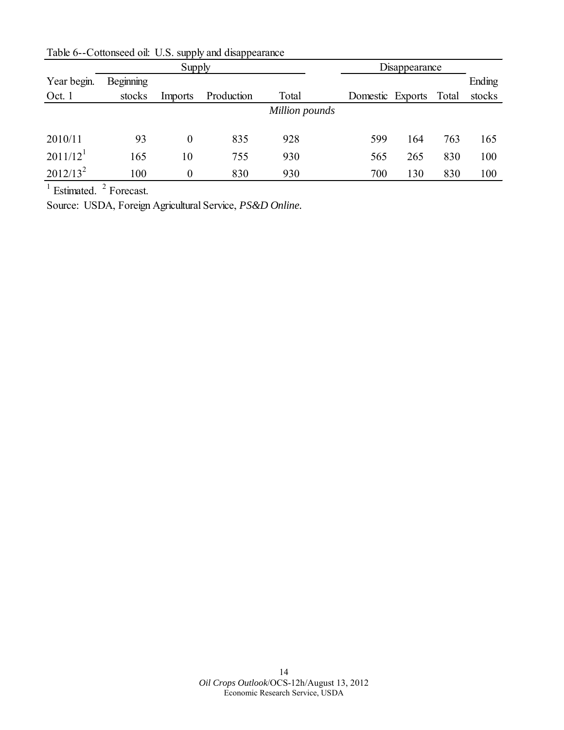|                      |           | Supply           |            | Disappearance  |                  |     |       |        |
|----------------------|-----------|------------------|------------|----------------|------------------|-----|-------|--------|
| Year begin.          | Beginning |                  |            |                |                  |     |       | Ending |
| Oct. 1               | stocks    | Imports          | Production | Total          | Domestic Exports |     | Total | stocks |
|                      |           |                  |            | Million pounds |                  |     |       |        |
|                      |           |                  |            |                |                  |     |       |        |
| 2010/11              | 93        | $\theta$         | 835        | 928            | 599              | 164 | 763   | 165    |
| 2011/12 <sup>1</sup> | 165       | 10               | 755        | 930            | 565              | 265 | 830   | 100    |
| $2012/13^2$          | 100       | $\boldsymbol{0}$ | 830        | 930            | 700              | 130 | 830   | 100    |

<span id="page-13-0"></span>Table 6--Cottonseed oil: U.S. supply and disappearance

Source: USDA, Foreign Agricultural Service, *PS&D Online.*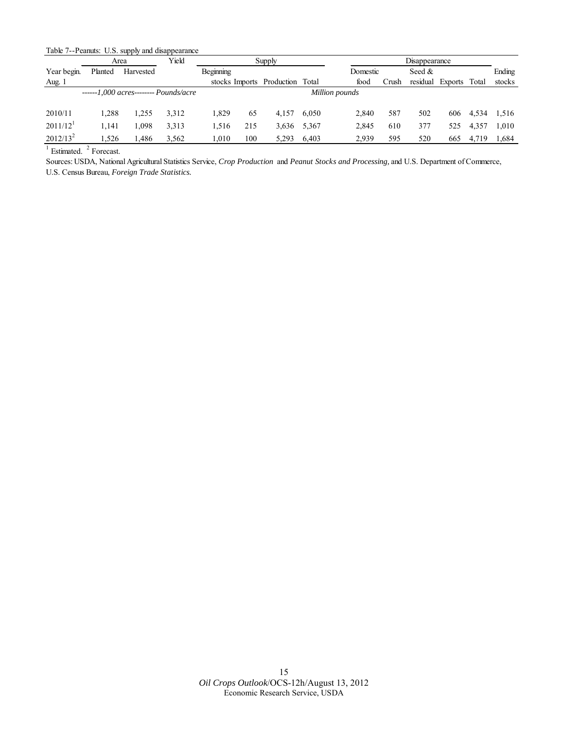<span id="page-14-0"></span>Table 7--Peanuts: U.S. supply and disappearance

|                        |         | Area      | Yield                              |           |                | Supply     |       |                |       | Disappearance |         |       |        |
|------------------------|---------|-----------|------------------------------------|-----------|----------------|------------|-------|----------------|-------|---------------|---------|-------|--------|
| Year begin.            | Planted | Harvested |                                    | Beginning |                |            |       | Domestic       |       | Seed $\&$     |         |       | Ending |
| Aug. 1                 |         |           |                                    |           | stocks Imports | Production | Total | food           | Crush | residual      | Exports | Total | stocks |
|                        |         |           | $---1.000$ acres $---$ Pounds/acre |           |                |            |       | Million pounds |       |               |         |       |        |
| 2010/11                | 1.288   | .255      | 3,312                              | 1.829     | 65             | 4.157      | 6.050 | 2,840          | 587   | 502           | 606     | 4,534 | 1,516  |
| $2011/12$ <sup>1</sup> | 1.141   | .098      | 3,313                              | 1.516     | 215            | 3,636      | 5.367 | 2,845          | 610   | 377           | 525     | 4,357 | 1,010  |
| $2012/13^2$            | 1,526   | .486      | 3,562                              | 1.010     | 100            | 5,293      | 6.403 | 2,939          | 595   | 520           | 665     | 4,719 | 1,684  |

 $<sup>1</sup>$  Estimated.  $<sup>2</sup>$  Forecast.</sup></sup>

Sources: USDA, National Agricultural Statistics Service, *Crop Production* and *Peanut Stocks and Processing,* and U.S. Department of Commerce, U.S. Census Bureau, *Foreign Trade Statistics.*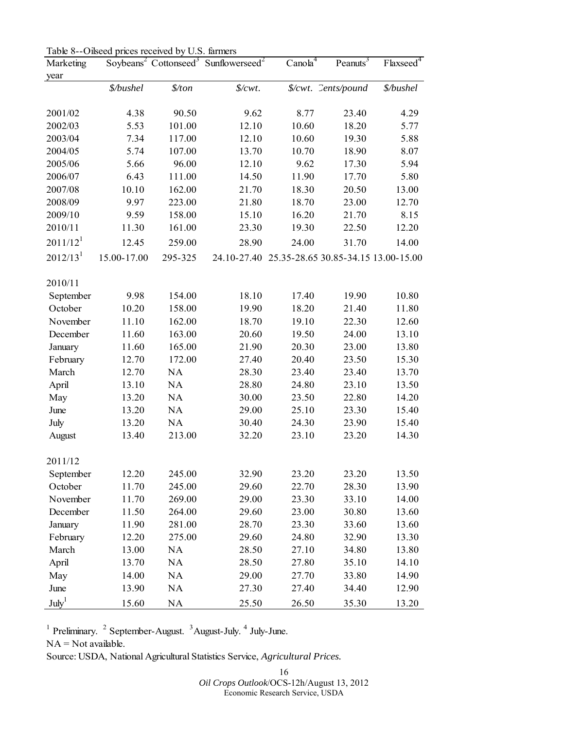<span id="page-15-0"></span>Table 8--Oilseed prices received by U.S. farmers

| Marketing            |             |         | Soybeans <sup>2</sup> Cottonseed <sup>3</sup> Sunflowerseed <sup>2</sup> | $Cano\overline{la^{4}}$ | Peanuts <sup>3</sup>                            | Flaxseed <sup>4</sup> |
|----------------------|-------------|---------|--------------------------------------------------------------------------|-------------------------|-------------------------------------------------|-----------------------|
| year                 |             |         |                                                                          |                         |                                                 |                       |
|                      | \$/bushel   | \$/ton  | $\frac{L}{W}$                                                            |                         | \$/cwt. Cents/pound                             | \$/bushel             |
| 2001/02              | 4.38        | 90.50   | 9.62                                                                     | 8.77                    | 23.40                                           | 4.29                  |
| 2002/03              | 5.53        | 101.00  | 12.10                                                                    | 10.60                   | 18.20                                           | 5.77                  |
| 2003/04              | 7.34        | 117.00  | 12.10                                                                    | 10.60                   | 19.30                                           | 5.88                  |
| 2004/05              | 5.74        | 107.00  | 13.70                                                                    | 10.70                   | 18.90                                           | 8.07                  |
| 2005/06              | 5.66        | 96.00   | 12.10                                                                    | 9.62                    | 17.30                                           | 5.94                  |
| 2006/07              | 6.43        | 111.00  | 14.50                                                                    | 11.90                   | 17.70                                           | 5.80                  |
| 2007/08              | 10.10       | 162.00  | 21.70                                                                    | 18.30                   | 20.50                                           | 13.00                 |
| 2008/09              | 9.97        | 223.00  | 21.80                                                                    | 18.70                   | 23.00                                           | 12.70                 |
| 2009/10              | 9.59        | 158.00  | 15.10                                                                    | 16.20                   | 21.70                                           | 8.15                  |
| 2010/11              | 11.30       | 161.00  | 23.30                                                                    | 19.30                   | 22.50                                           | 12.20                 |
| 2011/12 <sup>1</sup> | 12.45       | 259.00  | 28.90                                                                    | 24.00                   | 31.70                                           | 14.00                 |
| 2012/13 <sup>1</sup> | 15.00-17.00 | 295-325 |                                                                          |                         | 24.10-27.40 25.35-28.65 30.85-34.15 13.00-15.00 |                       |
| 2010/11              |             |         |                                                                          |                         |                                                 |                       |
| September            | 9.98        | 154.00  | 18.10                                                                    | 17.40                   | 19.90                                           | 10.80                 |
| October              | 10.20       | 158.00  | 19.90                                                                    | 18.20                   | 21.40                                           | 11.80                 |
| November             | 11.10       | 162.00  | 18.70                                                                    | 19.10                   | 22.30                                           | 12.60                 |
| December             | 11.60       | 163.00  | 20.60                                                                    | 19.50                   | 24.00                                           | 13.10                 |
| January              | 11.60       | 165.00  | 21.90                                                                    | 20.30                   | 23.00                                           | 13.80                 |
| February             | 12.70       | 172.00  | 27.40                                                                    | 20.40                   | 23.50                                           | 15.30                 |
| March                | 12.70       | NA      | 28.30                                                                    | 23.40                   | 23.40                                           | 13.70                 |
| April                | 13.10       | NA      | 28.80                                                                    | 24.80                   | 23.10                                           | 13.50                 |
| May                  | 13.20       | NA      | 30.00                                                                    | 23.50                   | 22.80                                           | 14.20                 |
| June                 | 13.20       | NA      | 29.00                                                                    | 25.10                   | 23.30                                           | 15.40                 |
| July                 | 13.20       | NA      | 30.40                                                                    | 24.30                   | 23.90                                           | 15.40                 |
| August               | 13.40       | 213.00  | 32.20                                                                    | 23.10                   | 23.20                                           | 14.30                 |
| 2011/12              |             |         |                                                                          |                         |                                                 |                       |
| September            | 12.20       | 245.00  | 32.90                                                                    | 23.20                   | 23.20                                           | 13.50                 |
| October              | 11.70       | 245.00  | 29.60                                                                    | 22.70                   | 28.30                                           | 13.90                 |
| November             | 11.70       | 269.00  | 29.00                                                                    | 23.30                   | 33.10                                           | 14.00                 |
| December             | 11.50       | 264.00  | 29.60                                                                    | 23.00                   | 30.80                                           | 13.60                 |
| January              | 11.90       | 281.00  | 28.70                                                                    | 23.30                   | 33.60                                           | 13.60                 |
| February             | 12.20       | 275.00  | 29.60                                                                    | 24.80                   | 32.90                                           | 13.30                 |
| March                | 13.00       | NA      | 28.50                                                                    | 27.10                   | 34.80                                           | 13.80                 |
| April                | 13.70       | NA      | 28.50                                                                    | 27.80                   | 35.10                                           | 14.10                 |
| May                  | 14.00       | NA      | 29.00                                                                    | 27.70                   | 33.80                                           | 14.90                 |
| June                 | 13.90       | NA      | 27.30                                                                    | 27.40                   | 34.40                                           | 12.90                 |
| $\text{July}^1$      | 15.60       | NA      | 25.50                                                                    | 26.50                   | 35.30                                           | 13.20                 |

 $1$  Preliminary.  $2$  September-August.  $3$ August-July.  $4$  July-June.

NA = Not available.

Source: USDA, National Agricultural Statistics Service, *Agricultural Prices.* 

16

*Oil Crops Outlook*/OCS-12h/August 13, 2012 Economic Research Service, USDA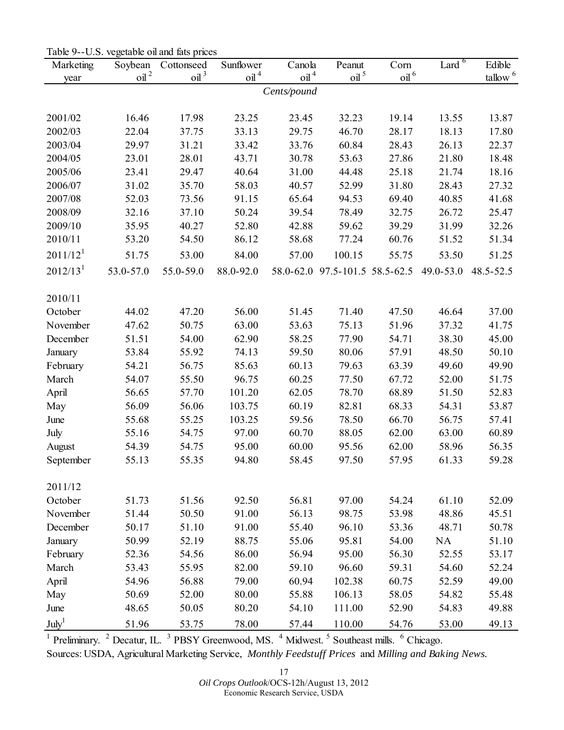<span id="page-16-0"></span>

| Table 9--U.S. vegetable oil and fats prices |  |  |
|---------------------------------------------|--|--|
|                                             |  |  |

| Marketing            | Soybean          | Cottonseed            | Sunflower        | Canola           | Peanut                         | Corn             | Lard <sup>6</sup> | Edible        |  |  |  |  |  |
|----------------------|------------------|-----------------------|------------------|------------------|--------------------------------|------------------|-------------------|---------------|--|--|--|--|--|
| year                 | oil <sup>2</sup> | $\Omega$ <sup>3</sup> | $\mathrm{oil}^4$ | oil <sup>4</sup> | oil <sup>5</sup>               | oil <sup>6</sup> |                   | $t$ allow $6$ |  |  |  |  |  |
| Cents/pound          |                  |                       |                  |                  |                                |                  |                   |               |  |  |  |  |  |
|                      |                  |                       |                  |                  |                                |                  |                   |               |  |  |  |  |  |
| 2001/02              | 16.46            | 17.98                 | 23.25            | 23.45            | 32.23                          | 19.14            | 13.55             | 13.87         |  |  |  |  |  |
| 2002/03              | 22.04            | 37.75                 | 33.13            | 29.75            | 46.70                          | 28.17            | 18.13             | 17.80         |  |  |  |  |  |
| 2003/04              | 29.97            | 31.21                 | 33.42            | 33.76            | 60.84                          | 28.43            | 26.13             | 22.37         |  |  |  |  |  |
| 2004/05              | 23.01            | 28.01                 | 43.71            | 30.78            | 53.63                          | 27.86            | 21.80             | 18.48         |  |  |  |  |  |
| 2005/06              | 23.41            | 29.47                 | 40.64            | 31.00            | 44.48                          | 25.18            | 21.74             | 18.16         |  |  |  |  |  |
| 2006/07              | 31.02            | 35.70                 | 58.03            | 40.57            | 52.99                          | 31.80            | 28.43             | 27.32         |  |  |  |  |  |
| 2007/08              | 52.03            | 73.56                 | 91.15            | 65.64            | 94.53                          | 69.40            | 40.85             | 41.68         |  |  |  |  |  |
| 2008/09              | 32.16            | 37.10                 | 50.24            | 39.54            | 78.49                          | 32.75            | 26.72             | 25.47         |  |  |  |  |  |
| 2009/10              | 35.95            | 40.27                 | 52.80            | 42.88            | 59.62                          | 39.29            | 31.99             | 32.26         |  |  |  |  |  |
| 2010/11              | 53.20            | 54.50                 | 86.12            | 58.68            | 77.24                          | 60.76            | 51.52             | 51.34         |  |  |  |  |  |
| 2011/12 <sup>1</sup> | 51.75            | 53.00                 | 84.00            | 57.00            | 100.15                         | 55.75            | 53.50             | 51.25         |  |  |  |  |  |
| $2012/13^1$          | 53.0-57.0        | 55.0-59.0             | 88.0-92.0        |                  | 58.0-62.0 97.5-101.5 58.5-62.5 |                  | 49.0-53.0         | 48.5-52.5     |  |  |  |  |  |
|                      |                  |                       |                  |                  |                                |                  |                   |               |  |  |  |  |  |
| 2010/11              |                  |                       |                  |                  |                                |                  |                   |               |  |  |  |  |  |
| October              | 44.02            | 47.20                 | 56.00            | 51.45            | 71.40                          | 47.50            | 46.64             | 37.00         |  |  |  |  |  |
| November             | 47.62            | 50.75                 | 63.00            | 53.63            | 75.13                          | 51.96            | 37.32             | 41.75         |  |  |  |  |  |
| December             | 51.51            | 54.00                 | 62.90            | 58.25            | 77.90                          | 54.71            | 38.30             | 45.00         |  |  |  |  |  |
| January              | 53.84            | 55.92                 | 74.13            | 59.50            | 80.06                          | 57.91            | 48.50             | 50.10         |  |  |  |  |  |
| February             | 54.21            | 56.75                 | 85.63            | 60.13            | 79.63                          | 63.39            | 49.60             | 49.90         |  |  |  |  |  |
| March                | 54.07            | 55.50                 | 96.75            | 60.25            | 77.50                          | 67.72            | 52.00             | 51.75         |  |  |  |  |  |
| April                | 56.65            | 57.70                 | 101.20           | 62.05            | 78.70                          | 68.89            | 51.50             | 52.83         |  |  |  |  |  |
| May                  | 56.09            | 56.06                 | 103.75           | 60.19            | 82.81                          | 68.33            | 54.31             | 53.87         |  |  |  |  |  |
| June                 | 55.68            | 55.25                 | 103.25           | 59.56            | 78.50                          | 66.70            | 56.75             | 57.41         |  |  |  |  |  |
| July                 | 55.16            | 54.75                 | 97.00            | 60.70            | 88.05                          | 62.00            | 63.00             | 60.89         |  |  |  |  |  |
| August               | 54.39            | 54.75                 | 95.00            | 60.00            | 95.56                          | 62.00            | 58.96             | 56.35         |  |  |  |  |  |
| September            | 55.13            | 55.35                 | 94.80            | 58.45            | 97.50                          | 57.95            | 61.33             | 59.28         |  |  |  |  |  |
| 2011/12              |                  |                       |                  |                  |                                |                  |                   |               |  |  |  |  |  |
| October              | 51.73            | 51.56                 | 92.50            | 56.81            | 97.00                          | 54.24            | 61.10             | 52.09         |  |  |  |  |  |
| November             | 51.44            | 50.50                 | 91.00            | 56.13            | 98.75                          | 53.98            | 48.86             | 45.51         |  |  |  |  |  |
| December             | 50.17            | 51.10                 | 91.00            | 55.40            | 96.10                          | 53.36            | 48.71             | 50.78         |  |  |  |  |  |
| January              | 50.99            | 52.19                 | 88.75            | 55.06            | 95.81                          | 54.00            | <b>NA</b>         | 51.10         |  |  |  |  |  |
| February             | 52.36            | 54.56                 | 86.00            | 56.94            | 95.00                          | 56.30            | 52.55             | 53.17         |  |  |  |  |  |
| March                | 53.43            | 55.95                 | 82.00            | 59.10            | 96.60                          | 59.31            | 54.60             | 52.24         |  |  |  |  |  |
| April                | 54.96            | 56.88                 | 79.00            | 60.94            | 102.38                         | 60.75            | 52.59             | 49.00         |  |  |  |  |  |
|                      | 50.69            | 52.00                 | 80.00            | 55.88            | 106.13                         | 58.05            | 54.82             | 55.48         |  |  |  |  |  |
| May                  | 48.65            | 50.05                 | 80.20            | 54.10            | 111.00                         | 52.90            | 54.83             | 49.88         |  |  |  |  |  |
| June                 |                  |                       |                  |                  |                                |                  |                   |               |  |  |  |  |  |
| July <sup>1</sup>    | 51.96            | 53.75                 | 78.00            | 57.44            | 110.00                         | 54.76            | 53.00             | 49.13         |  |  |  |  |  |

<sup>1</sup> Preliminary.  $2$  Decatur, IL.  $3$  PBSY Greenwood, MS.  $4$  Midwest.  $5$  Southeast mills.  $6$  Chicago.

Sources: USDA, Agricultural Marketing Service, *Monthly Feedstuff Prices* and *Milling and Baking News.* 

17 *Oil Crops Outlook*/OCS-12h/August 13, 2012

Economic Research Service, USDA